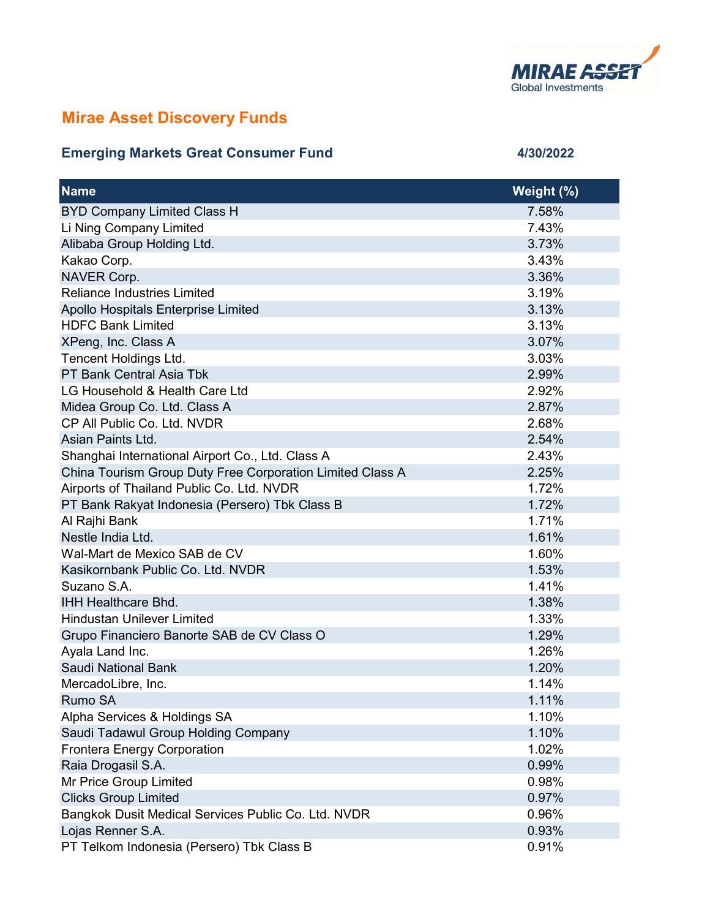

## Mirae Asset Discovery Funds

## Emerging Markets Great Consumer Fund 4/30/2022

| <b>Name</b>                                               | Weight (%) |
|-----------------------------------------------------------|------------|
| <b>BYD Company Limited Class H</b>                        | 7.58%      |
| Li Ning Company Limited                                   | 7.43%      |
| Alibaba Group Holding Ltd.                                | 3.73%      |
| Kakao Corp.                                               | 3.43%      |
| NAVER Corp.                                               | 3.36%      |
| <b>Reliance Industries Limited</b>                        | 3.19%      |
| Apollo Hospitals Enterprise Limited                       | 3.13%      |
| <b>HDFC Bank Limited</b>                                  | 3.13%      |
| XPeng, Inc. Class A                                       | 3.07%      |
| Tencent Holdings Ltd.                                     | 3.03%      |
| PT Bank Central Asia Tbk                                  | 2.99%      |
| LG Household & Health Care Ltd                            | 2.92%      |
| Midea Group Co. Ltd. Class A                              | 2.87%      |
| CP All Public Co. Ltd. NVDR                               | 2.68%      |
| Asian Paints Ltd.                                         | 2.54%      |
| Shanghai International Airport Co., Ltd. Class A          | 2.43%      |
| China Tourism Group Duty Free Corporation Limited Class A | 2.25%      |
| Airports of Thailand Public Co. Ltd. NVDR                 | 1.72%      |
| PT Bank Rakyat Indonesia (Persero) Tbk Class B            | 1.72%      |
| Al Rajhi Bank                                             | 1.71%      |
| Nestle India Ltd.                                         | 1.61%      |
| Wal-Mart de Mexico SAB de CV                              | 1.60%      |
| Kasikornbank Public Co. Ltd. NVDR                         | 1.53%      |
| Suzano S.A.                                               | 1.41%      |
| <b>IHH Healthcare Bhd.</b>                                | 1.38%      |
| <b>Hindustan Unilever Limited</b>                         | 1.33%      |
| Grupo Financiero Banorte SAB de CV Class O                | 1.29%      |
| Ayala Land Inc.                                           | 1.26%      |
| Saudi National Bank                                       | 1.20%      |
| MercadoLibre, Inc.                                        | 1.14%      |
| Rumo SA                                                   | 1.11%      |
| Alpha Services & Holdings SA                              | 1.10%      |
| Saudi Tadawul Group Holding Company                       | 1.10%      |
| <b>Frontera Energy Corporation</b>                        | 1.02%      |
| Raia Drogasil S.A.                                        | 0.99%      |
| Mr Price Group Limited                                    | 0.98%      |
| <b>Clicks Group Limited</b>                               | 0.97%      |
| Bangkok Dusit Medical Services Public Co. Ltd. NVDR       | 0.96%      |
| Lojas Renner S.A.                                         | 0.93%      |
| PT Telkom Indonesia (Persero) Tbk Class B                 | 0.91%      |